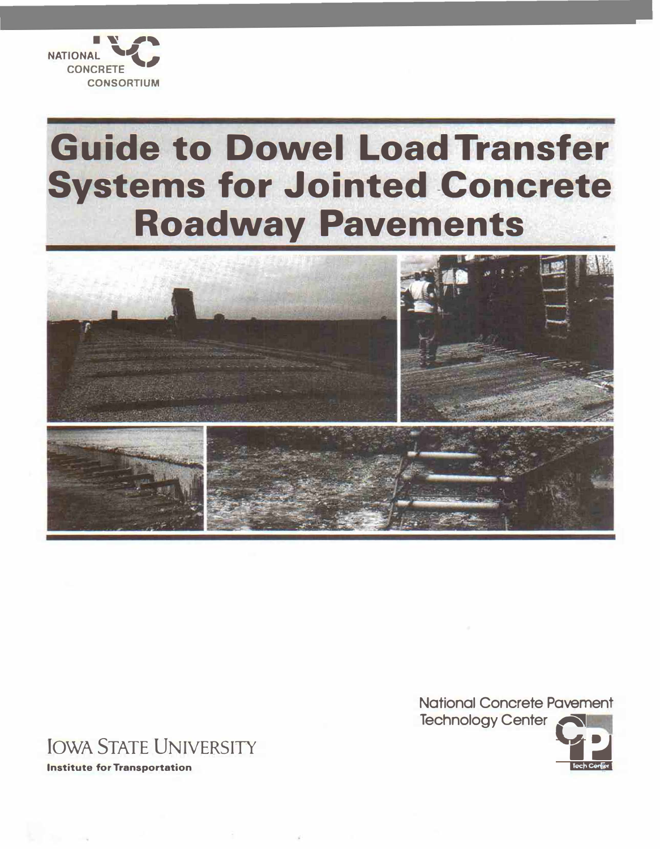

## **Guide to Dowel Load Transfer Systems for Jointed Concrete Roadway Pavements**



**National Concrete Pavement Technology Center** 



## **JOWA STATE UNIVERSITY**

**Institute for Transportation**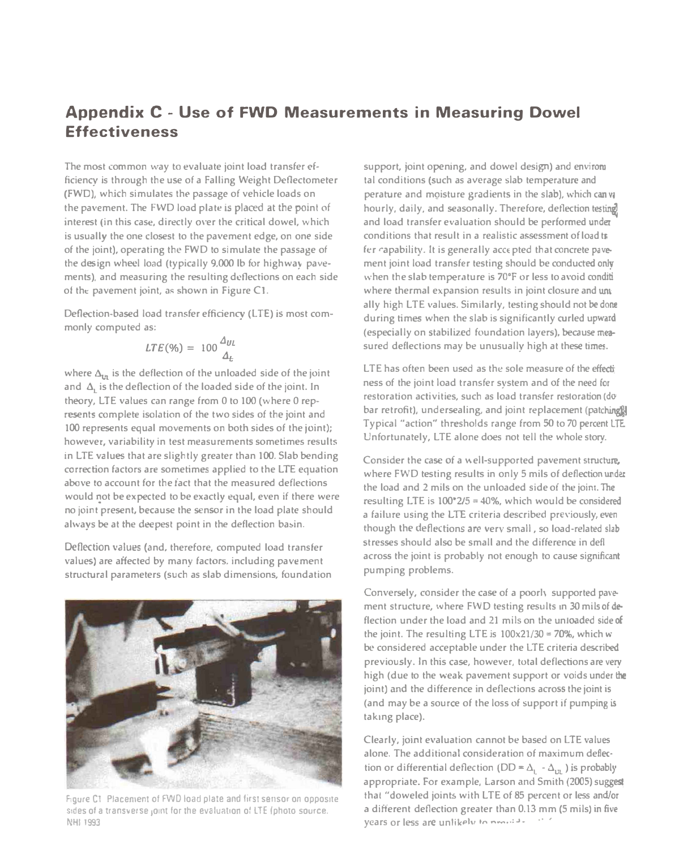## **Appendix C - Use of FWD Measurements in Measuring Dowel Effectiveness**

The most common way to evaluate joint load transfer efficiency is through the use of a Falling Weight Deflectometer (FWD), which simulates the passage of vehicle loads on **the pa\'cment. The FWD load plate** is placed at the **point** of interest (in this case, directly over the critical dowel, which is usually the one closest to the pavement edge, on one side **of the joint), operating the FWD to simulate the passage of**  the design wheel load (typically 9,000 lb for highway pavements), and measuring the resulting deflections on each side of the pavement joint, as shown in Figure C1.

Deflection-based load transfer efficiency (LTE) is most commonly computed as:

$$
LTE(\%) = 100 \frac{\Delta_{UL}}{\Delta_t}
$$

where  $\Delta_{1n}$  is the deflection of the unloaded side of the joint and  $\Delta$ <sub>1</sub> is the deflection of the loaded side of the joint. In theory, LTE values can range from 0 to 100 (where 0 rep**rcsents complete isolation of the two sides** of the **joint and 100 represents equal movements on both sides of the joint);** however, variability in test measurements sometimes results **in LTE values that are slightly greater than 100. Slab bending**  correction factors are sometimes applied to the LTE equation **above to account for the fact that the measured deilections**  would not be expected to be exactly equal, even if there were **no joint present, because the sensor in the load plate should**  always be at the deepest point in the deflection basin.

**Deflection values (and, therefore, computed load transfer** values) are affected by many factors. including pavement **structural parameters (such as slab dimensions, foundation** 



Figure C1 Placement of FWD load plate and first sensor on opposite sides of a transverse joint for the evaluation of LTE (photo source. **NHl 1993** 

**support, joint opening. and dowel design)** and **en\'irort**  tal conditions (such as average slab temperature and **perature and mQisture gradients in the slab), which canv;**  hourly, daily, and seasonally. Therefore, deflection testing **and load transfer evaluation should be pcriormed under**  conditions that result in a realistic assessment of load tr fer capability. It is generally accepted that concrete pavement joint load transfer testing should be conducted only when the slab temperature is 70°F or less to avoid conditi where thermal expansion results in joint closure and until **ally high LTE values. Similarly, testing should not** be **done**  during times when the slab is significantly curled upward (especially on stabilized foundation layers), because mea**sured deflections may be unusually high at these times.** 

**LTE** has often been used as the sole measure of the effective **ness of the joint load transfer system and of the need for** restoration activities, such as load transfer restoration (do<sup>1</sup> bar retrofit), undersealing, and joint replacement (patching). Typical "action" thresholds range from 50 to 70 percent LTE. Unfortunately, LTE alone does not tell the whole story.

Consider the case of a well-supported pavement structure, **where FWD testing results in only 5 mils of deflection under the load and** 2 **mils on the unloaded side oi the joint.** The resulting LTE is  $100^{\circ}2/5 = 40\%$ , which would be considered **a failure using the** LT£ **criteria d�cribcd pre,·iously, even**  though the deflections are very small, so load-related slab **:;tresses should also be small and the difference in defl across the joint is probably not enough to cause significant pumping problems.** 

Conversely, consider the case of a poorly supported pavement structure, where FWD testing results in 30 mils of deflection under the load and 21 mils on the unioaded side of the joint. The resulting LTE is  $100 \times 21/30 = 70\%$ , which w be considered acceptable under the LTE criteria described **previously. In this case, however. total deflections are very**  high (due to the weak pavement support or voids under the joint) and the difference in deflections across the joint is (and may be a source of the loss of support if pumping is **laking place).** 

**Clearly,** joint **evaluation cannot be based on LTE values alone. The additional consideration of maximum deflection or differential deflection (DD =**  $\Delta$ **<sub>L</sub>**  $\Delta$ **<sub>UL</sub>) is probably appropriate.** For **example, Larson** and **Smith** (2005) **suggest**  that "doweled joints with LTE of 85 percent or less and/or a different deflection greater than 0.13 mm (5 mils) in five **years or less are unlikely to nominal state**